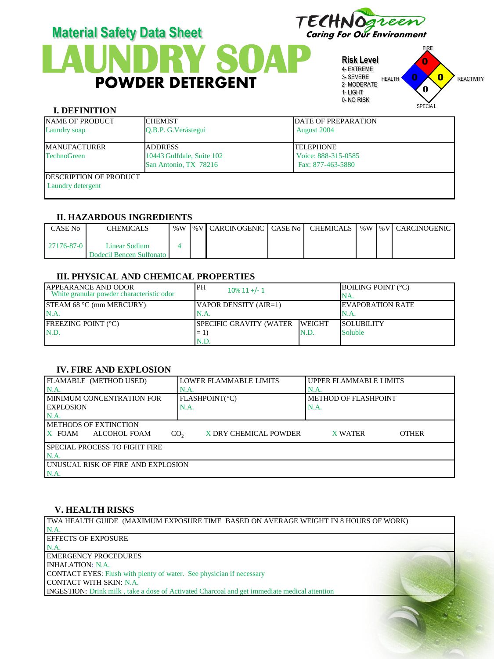



**Risk Level** 4- EXTREME 3- SEVERE 2- MODERATE 1- LIGHT 0- NO RISK



#### **I. DEFINITION**

| <b>NAME OF PRODUCT</b>                              | <b>ICHEMIST</b>                                    | <b>DATE OF PREPARATION</b>               |
|-----------------------------------------------------|----------------------------------------------------|------------------------------------------|
| Laundry soap                                        | O.B.P. G. Verástegui                               | August 2004                              |
| <b>MANUFACTURER</b>                                 | <b>ADDRESS</b>                                     | <b>TELEPHONE</b>                         |
| <b>TechnoGreen</b>                                  | 10443 Gulfdale, Suite 102<br>San Antonio, TX 78216 | Voice: 888-315-0585<br>Fax: 877-463-5880 |
| <b>IDESCRIPTION OF PRODUCT</b><br>Laundry detergent |                                                    |                                          |

# **II. HAZARDOUS INGREDIENTS**

| CASE No          | CHEMICALS                                   | %W | l %V   CARCINOGENIC   CASE No |  |  | CHEMICALS   %W   %V   CARCINOGENIC |
|------------------|---------------------------------------------|----|-------------------------------|--|--|------------------------------------|
| $27176 - 87 - 0$ | Linear Sodium<br>Dodecil Bencen Sulfonato I |    |                               |  |  |                                    |

# **III. PHYSICAL AND CHEMICAL PROPERTIES**

| <b>APPEARANCE AND ODOR</b><br>White granular powder characteristic odor | PH<br>$10\%$ 11 +/- 1          |      | <b>BOILING POINT (°C)</b><br>INA. |
|-------------------------------------------------------------------------|--------------------------------|------|-----------------------------------|
| <b>STEAM 68 °C (mm MERCURY)</b><br>N.A.                                 | VAPOR DENSITY (AIR=1)<br>N.A.  |      | <b>IEVAPORATION RATE</b><br>IN.A. |
| <b>FREEZING POINT (°C)</b>                                              | SPECIFIC GRAVITY (WATER WEIGHT |      | <b>ISOLUBILITY</b>                |
| N.D.                                                                    | $=1$                           | N.D. | <b>Soluble</b>                    |
|                                                                         | N.D                            |      |                                   |

# **IV. FIRE AND EXPLOSION**

| FLAMABLE (METHOD USED)                | LOWER FLAMMABLE LIMITS                   | UPPER FLAMMABLE LIMITS      |  |  |  |  |
|---------------------------------------|------------------------------------------|-----------------------------|--|--|--|--|
| N.A                                   | N.A.                                     | N.A.                        |  |  |  |  |
| <b>IMINIMUM CONCENTRATION FOR</b>     | FLASHPOINT(°C)                           | <b>METHOD OF FLASHPOINT</b> |  |  |  |  |
| <b>LEXPLOSION</b><br>N.A.             |                                          | N.A.                        |  |  |  |  |
| N.A                                   |                                          |                             |  |  |  |  |
| <b>METHODS OF EXTINCTION</b>          |                                          |                             |  |  |  |  |
| X FOAM<br>ALCOHOL FOAM                | X DRY CHEMICAL POWDER<br>CO <sub>2</sub> | X WATER<br><b>OTHER</b>     |  |  |  |  |
| <b>ISPECIAL PROCESS TO FIGHT FIRE</b> |                                          |                             |  |  |  |  |
| N.A.                                  |                                          |                             |  |  |  |  |
| UNUSUAL RISK OF FIRE AND EXPLOSION    |                                          |                             |  |  |  |  |
| N.A                                   |                                          |                             |  |  |  |  |

### **V. HEALTH RISKS**

TWA HEALTH GUIDE (MAXIMUM EXPOSURE TIME BASED ON AVERAGE WEIGHT IN 8 HOURS OF WORK) N.A. EFFECTS OF EXPOSURE N.A. EMERGENCY PROCEDURES INHALATION: N.A. CONTACT EYES: Flush with plenty of water. See physician if necessary CONTACT WITH SKIN: N.A. INGESTION: Drink milk , take a dose of Activated Charcoal and get immediate medical attention